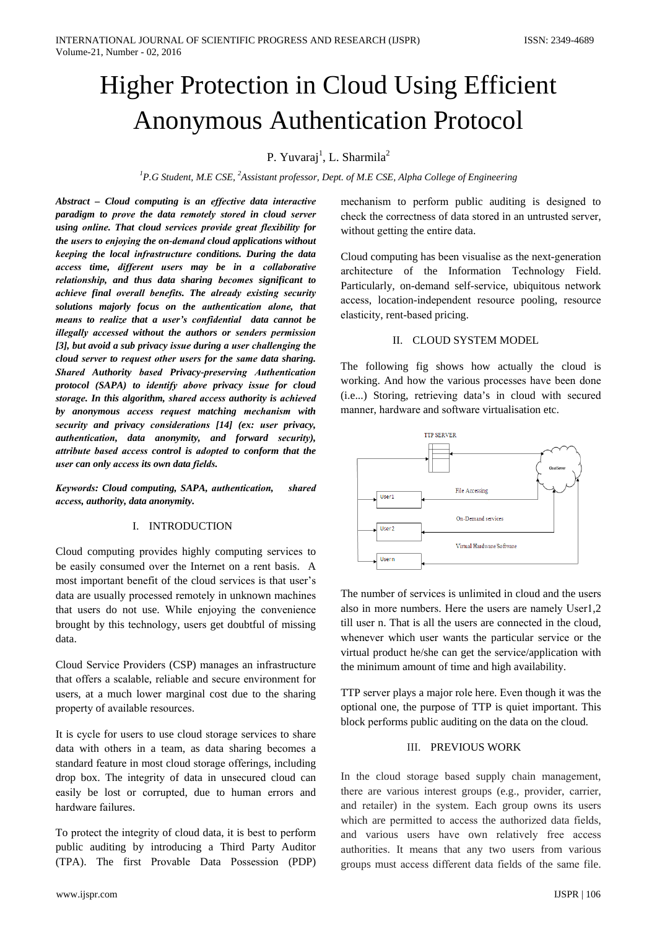# **Higher Protection in Cloud Using Efficient Anonymous Authentication Protocol**

# P. Yuvarai<sup>1</sup>, L. Sharmila<sup>2</sup>

<sup>1</sup>P.G Student, M.E CSE, <sup>2</sup>Assistant professor, Dept. of M.E CSE, Alpha College of Engineering

Abstract - Cloud computing is an effective data interactive paradigm to prove the data remotely stored in cloud server using online. That cloud services provide great flexibility for the users to enjoying the on-demand cloud applications without keeping the local infrastructure conditions. During the data access time, different users may be in a collaborative relationship, and thus data sharing becomes significant to achieve final overall benefits. The already existing security solutions majorly focus on the authentication alone, that means to realize that a user's confidential data cannot be illegally accessed without the authors or senders permission [3], but avoid a sub privacy issue during a user challenging the cloud server to request other users for the same data sharing. Shared Authority based Privacy-preserving Authentication protocol (SAPA) to identify above privacy issue for cloud storage. In this algorithm, shared access authority is achieved by anonymous access request matching mechanism with security and privacy considerations [14] (ex: user privacy, authentication, data anonymity, and forward security), attribute based access control is adopted to conform that the user can only access its own data fields.

Keywords: Cloud computing, SAPA, authentication, shared access, authority, data anonymity.

# I. INTRODUCTION

Cloud computing provides highly computing services to be easily consumed over the Internet on a rent basis. A most important benefit of the cloud services is that user's data are usually processed remotely in unknown machines that users do not use. While enjoying the convenience brought by this technology, users get doubtful of missing data.

Cloud Service Providers (CSP) manages an infrastructure that offers a scalable, reliable and secure environment for users, at a much lower marginal cost due to the sharing property of available resources.

It is cycle for users to use cloud storage services to share data with others in a team, as data sharing becomes a standard feature in most cloud storage offerings, including drop box. The integrity of data in unsecured cloud can easily be lost or corrupted, due to human errors and hardware failures.

To protect the integrity of cloud data, it is best to perform public auditing by introducing a Third Party Auditor (TPA). The first Provable Data Possession (PDP)

mechanism to perform public auditing is designed to check the correctness of data stored in an untrusted server, without getting the entire data.

Cloud computing has been visualise as the next-generation architecture of the Information Technology Field. Particularly, on-demand self-service, ubiquitous network access, location-independent resource pooling, resource elasticity, rent-based pricing.

### II. CLOUD SYSTEM MODEL

The following fig shows how actually the cloud is working. And how the various processes have been done (i.e...) Storing, retrieving data's in cloud with secured manner, hardware and software virtualisation etc.



The number of services is unlimited in cloud and the users also in more numbers. Here the users are namely User1,2 till user n. That is all the users are connected in the cloud. whenever which user wants the particular service or the virtual product he/she can get the service/application with the minimum amount of time and high availability.

TTP server plays a major role here. Even though it was the optional one, the purpose of TTP is quiet important. This block performs public auditing on the data on the cloud.

# **III. PREVIOUS WORK**

In the cloud storage based supply chain management, there are various interest groups (e.g., provider, carrier, and retailer) in the system. Each group owns its users which are permitted to access the authorized data fields, and various users have own relatively free access authorities. It means that any two users from various groups must access different data fields of the same file.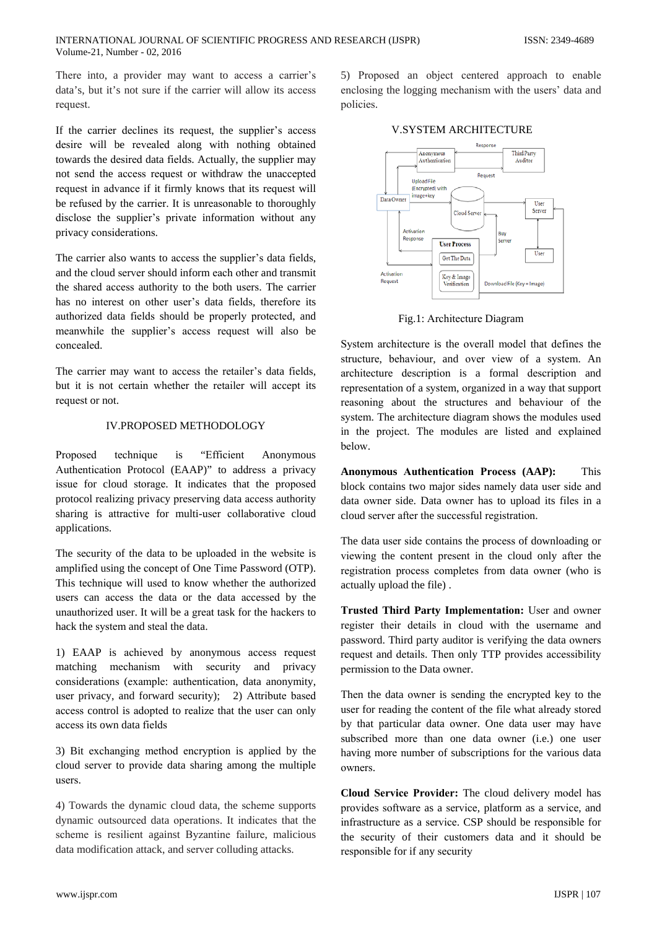There into, a provider may want to access a carrier's data's, but it's not sure if the carrier will allow its access request.

If the carrier declines its request, the supplier's access desire will be revealed along with nothing obtained towards the desired data fields. Actually, the supplier may not send the access request or withdraw the unaccepted request in advance if it firmly knows that its request will be refused by the carrier. It is unreasonable to thoroughly disclose the supplier's private information without any privacy considerations.

The carrier also wants to access the supplier's data fields, and the cloud server should inform each other and transmit the shared access authority to the both users. The carrier has no interest on other user's data fields, therefore its authorized data fields should be properly protected, and meanwhile the supplier's access request will also be concealed.

The carrier may want to access the retailer's data fields, but it is not certain whether the retailer will accept its request or not.

## **IV PROPOSED METHODOLOGY**

Proposed technique "Efficient is Anonymous Authentication Protocol (EAAP)" to address a privacy issue for cloud storage. It indicates that the proposed protocol realizing privacy preserving data access authority sharing is attractive for multi-user collaborative cloud applications.

The security of the data to be uploaded in the website is amplified using the concept of One Time Password (OTP). This technique will used to know whether the authorized users can access the data or the data accessed by the unauthorized user. It will be a great task for the hackers to hack the system and steal the data.

1) EAAP is achieved by anonymous access request matching mechanism with security and privacy considerations (example: authentication, data anonymity, user privacy, and forward security); 2) Attribute based access control is adopted to realize that the user can only access its own data fields

3) Bit exchanging method encryption is applied by the cloud server to provide data sharing among the multiple users.

4) Towards the dynamic cloud data, the scheme supports dynamic outsourced data operations. It indicates that the scheme is resilient against Byzantine failure, malicious data modification attack, and server colluding attacks.

5) Proposed an object centered approach to enable enclosing the logging mechanism with the users' data and policies.



Fig.1: Architecture Diagram

System architecture is the overall model that defines the structure, behaviour, and over view of a system. An architecture description is a formal description and representation of a system, organized in a way that support reasoning about the structures and behaviour of the system. The architecture diagram shows the modules used in the project. The modules are listed and explained below.

Anonymous Authentication Process (AAP): This block contains two major sides namely data user side and data owner side. Data owner has to upload its files in a cloud server after the successful registration.

The data user side contains the process of downloading or viewing the content present in the cloud only after the registration process completes from data owner (who is actually upload the file).

Trusted Third Party Implementation: User and owner register their details in cloud with the username and password. Third party auditor is verifying the data owners request and details. Then only TTP provides accessibility permission to the Data owner.

Then the data owner is sending the encrypted key to the user for reading the content of the file what already stored by that particular data owner. One data user may have subscribed more than one data owner (i.e.) one user having more number of subscriptions for the various data owners.

Cloud Service Provider: The cloud delivery model has provides software as a service, platform as a service, and infrastructure as a service. CSP should be responsible for the security of their customers data and it should be responsible for if any security